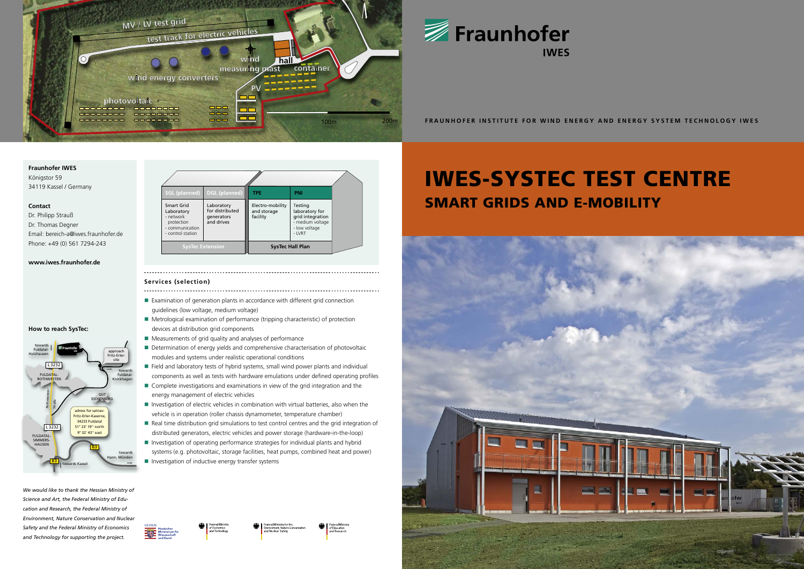# **Fraunhofer IWES**

Königstor 59 34119 Kassel / Germany

### **Contact**

Dr. Philipp Strauß Dr. Thomas Degner Email: bereich-a@iwes.fraunhofer.de Phone: +49 (0) 561 7294-243

## **www.iwes.fraunhofer.de**

### **How to reach SysTec:**

- Examination of generation plants in accordance with different grid connection
- guidelines (low voltage, medium voltage) Metrological examination of performance (tripping characteristic) of protection
- devices at distribution grid components
- Measurements of grid quality and analyses of performance
- Determination of energy yields and comprehensive characterisation of photovoltaic modules and systems under realistic operational conditions
- Field and laboratory tests of hybrid systems, small wind power plants and individual components as well as tests with hardware emulations under defined operating profiles
- Complete investigations and examinations in view of the grid integration and the energy management of electric vehicles
- $\blacksquare$  Investigation of electric vehicles in combination with virtual batteries, also when the vehicle is in operation (roller chassis dynamometer, temperature chamber)
- Real time distribution grid simulations to test control centres and the grid integration of distributed generators, electric vehicles and power storage (hardware-in-the-loop)
- Investigation of operating performance strategies for individual plants and hybrid systems (e.g. photovoltaic, storage facilities, heat pumps, combined heat and power)
- **Investigation of inductive energy transfer systems**





We would like to thank the Hessian Ministry of Science and Art, the Federal Ministry of Edu*cation and Research, the Federal Ministry of Environment, Nature Conservation and Nuclear Safety and the Federal Ministry of Economics*  and Technology for supporting the project.

### **Services (selection)**

# IWES-SYSTEC TEST CENTRE SMART GRIDS AND E-MOBILITY







**FRAUNHOFER INSTITUTE FOR WIND ENERGY AND ENERGY SYSTEM TECHNOLOGY IWES**